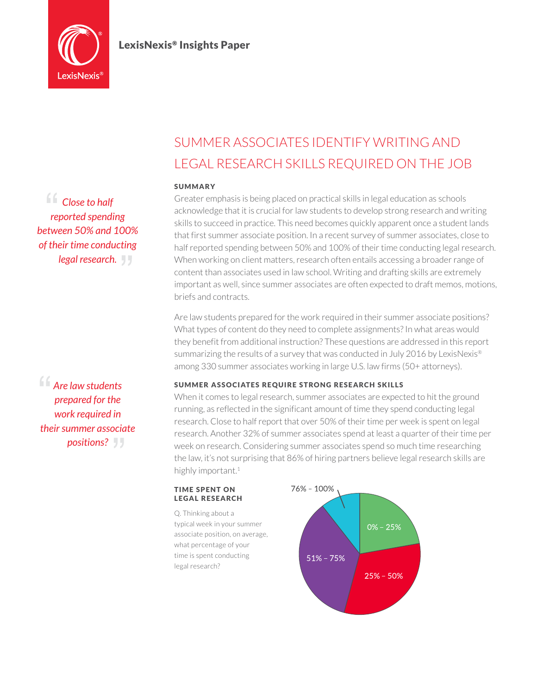

## LexisNexis® Insights Paper

*Close to half reported spending between 50% and 100% of their time conducting legal research.*

*Are law students prepared for the work required in their summer associate positions?*

# Summer associates identify writing and legal research skills required on the job

#### **SUMMARY**

Greater emphasis is being placed on practical skills in legal education as schools acknowledge that it is crucial for law students to develop strong research and writing skills to succeed in practice. This need becomes quickly apparent once a student lands that first summer associate position. In a recent survey of summer associates, close to half reported spending between 50% and 100% of their time conducting legal research. When working on client matters, research often entails accessing a broader range of content than associates used in law school. Writing and drafting skills are extremely important as well, since summer associates are often expected to draft memos, motions, briefs and contracts.

Are law students prepared for the work required in their summer associate positions? What types of content do they need to complete assignments? In what areas would they benefit from additional instruction? These questions are addressed in this report summarizing the results of a survey that was conducted in July 2016 by LexisNexis® among 330 summer associates working in large U.S. law firms (50+ attorneys).

#### Summer associates require strong research skills

When it comes to legal research, summer associates are expected to hit the ground running, as reflected in the significant amount of time they spend conducting legal research. Close to half report that over 50% of their time per week is spent on legal research. Another 32% of summer associates spend at least a quarter of their time per week on research. Considering summer associates spend so much time researching the law, it's not surprising that 86% of hiring partners believe legal research skills are highly important.<sup>1</sup>

#### **TIME SPENT ON** legal research

Q. Thinking about a typical week in your summer associate position, on average, what percentage of your time is spent conducting legal research?

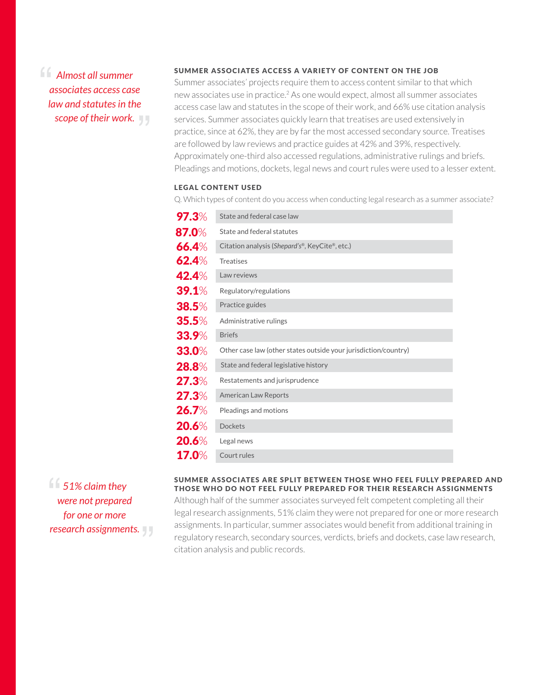*Almost all summer associates access case law and statutes in the scope of their work.*

### SUMMER ASSOCIATES ACCESS A VARIETY OF CONTENT ON THE JOB

Summer associates' projects require them to access content similar to that which new associates use in practice.2 As one would expect, almost all summer associates access case law and statutes in the scope of their work, and 66% use citation analysis services. Summer associates quickly learn that treatises are used extensively in practice, since at 62%, they are by far the most accessed secondary source. Treatises are followed by law reviews and practice guides at 42% and 39%, respectively. Approximately one-third also accessed regulations, administrative rulings and briefs. Pleadings and motions, dockets, legal news and court rules were used to a lesser extent.

#### **LEGAL CONTENT USED**

Q. Which types of content do you access when conducting legal research as a summer associate?

| 97.3%        | State and federal case law                                      |
|--------------|-----------------------------------------------------------------|
| 87.0%        | State and federal statutes                                      |
| 66.4%        | Citation analysis (Shepard's <sup>®</sup> , KeyCite®, etc.)     |
| 62.4%        | <b>Treatises</b>                                                |
| 42.4%        | Law reviews                                                     |
| <b>39.1%</b> | Regulatory/regulations                                          |
| 38.5%        | Practice guides                                                 |
| 35.5%        | Administrative rulings                                          |
| <b>33.9%</b> | <b>Briefs</b>                                                   |
| 33.0%        | Other case law (other states outside your jurisdiction/country) |
| 28.8%        | State and federal legislative history                           |
| 27.3%        | Restatements and jurisprudence                                  |
| 27.3%        | <b>American Law Reports</b>                                     |
| <b>26.7%</b> | Pleadings and motions                                           |
| 20.6%        | <b>Dockets</b>                                                  |
| 20.6%        | Legal news                                                      |
| 17.0%        | Court rules                                                     |

*51% claim they were not prepared for one or more research assignments.*

#### SUMMER ASSOCIATES ARE SPLIT BETWEEN THOSE WHO FEEL FULLY PREPARED AND THOSE WHO DO NOT FEEL FULLY PREPARED FOR THEIR RESEARCH ASSIGNMENTS

Although half of the summer associates surveyed felt competent completing all their legal research assignments, 51% claim they were not prepared for one or more research assignments. In particular, summer associates would benefit from additional training in regulatory research, secondary sources, verdicts, briefs and dockets, case law research, citation analysis and public records.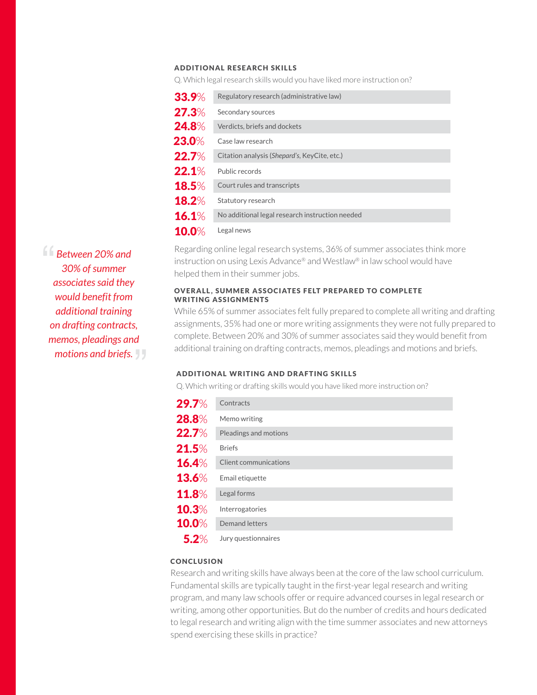#### Additional research skills

Q. Which legal research skills would you have liked more instruction on?

| 33.9%        | Regulatory research (administrative law)        |
|--------------|-------------------------------------------------|
| 27.3%        | Secondary sources                               |
| 24.8%        | Verdicts, briefs and dockets                    |
| 23.0%        | Case law research                               |
| 22.7%        | Citation analysis (Shepard's, KeyCite, etc.)    |
| 22.1%        | Public records                                  |
| <b>18.5%</b> | Court rules and transcripts                     |
| <b>18.2%</b> | Statutory research                              |
| 16.1%        | No additional legal research instruction needed |
| <b>10.0%</b> | Legal news                                      |

Regarding online legal research systems, 36% of summer associates think more instruction on using Lexis Advance® and Westlaw® in law school would have helped them in their summer jobs.

#### OVERALL, SUMMER ASSOCIATES FELT PREPARED TO COMPLETE WRITING ASSIGNMENTS

While 65% of summer associates felt fully prepared to complete all writing and drafting assignments, 35% had one or more writing assignments they were not fully prepared to complete. Between 20% and 30% of summer associates said they would benefit from additional training on drafting contracts, memos, pleadings and motions and briefs.

#### Additional writing and drafting skills

Q. Which writing or drafting skills would you have liked more instruction on?

| <b>29.7%</b> | Contracts             |
|--------------|-----------------------|
| 28.8%        | Memo writing          |
| 22.7%        | Pleadings and motions |
| 21.5%        | <b>Briefs</b>         |
| 16.4%        | Client communications |
| 13.6%        | Email etiquette       |
| 11.8%        | Legal forms           |
| 10.3%        | Interrogatories       |
| 10.0%        | Demand letters        |
| $5.2\%$      | Jury questionnaires   |

#### **CONCLUSION**

Research and writing skills have always been at the core of the law school curriculum. Fundamental skills are typically taught in the first-year legal research and writing program, and many law schools offer or require advanced courses in legal research or writing, among other opportunities. But do the number of credits and hours dedicated to legal research and writing align with the time summer associates and new attorneys spend exercising these skills in practice?

*Between 20% and 30% of summer associates said they would benefit from additional training on drafting contracts, memos, pleadings and motions and briefs.*